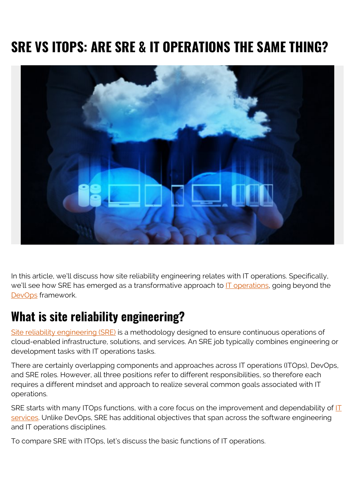# **SRE VS ITOPS: ARE SRE & IT OPERATIONS THE SAME THING?**



In this article, we'll discuss how site reliability engineering relates with IT operations. Specifically, we'll see how SRE has emerged as a transformative approach to [IT operations,](https://blogs.bmc.com/blogs/itops-devops-and-noops-oh-my/) going beyond the [DevOps](https://blogs.bmc.com/blogs/devops-basics-introduction/) framework.

#### **What is site reliability engineering?**

[Site reliability engineering \(SRE\)](https://blogs.bmc.com/blogs/sre-site-reliability-engineering/) is a methodology designed to ensure continuous operations of cloud-enabled infrastructure, solutions, and services. An SRE job typically combines engineering or development tasks with IT operations tasks.

There are certainly overlapping components and approaches across IT operations (ITOps), DevOps, and SRE roles. However, all three positions refer to different responsibilities, so therefore each requires a different mindset and approach to realize several common goals associated with IT operations.

SRE starts with many [IT](https://blogs.bmc.com/blogs/it-service/)Ops functions, with a core focus on the improvement and dependability of IT [services](https://blogs.bmc.com/blogs/it-service/). Unlike DevOps, SRE has additional objectives that span across the software engineering and IT operations disciplines.

To compare SRE with ITOps, let's discuss the basic functions of IT operations.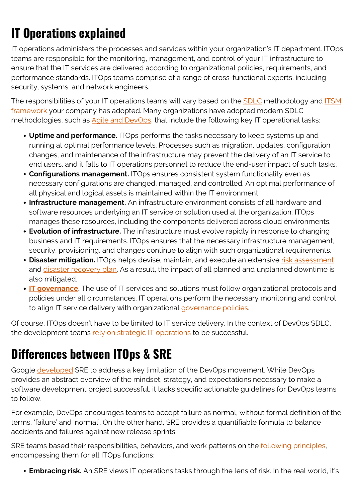## **IT Operations explained**

IT operations administers the processes and services within your organization's IT department. ITOps teams are responsible for the monitoring, management, and control of your IT infrastructure to ensure that the IT services are delivered according to organizational policies, requirements, and performance standards. ITOps teams comprise of a range of cross-functional experts, including security, systems, and network engineers.

The responsibilities of your IT operations teams will vary based on the [SDLC](https://blogs.bmc.com/blogs/sdlc-software-development-lifecycle/) methodology and [ITSM](https://blogs.bmc.com/blogs/itsm-frameworks-popular/) [framework](https://blogs.bmc.com/blogs/itsm-frameworks-popular/) your company has adopted. Many organizations have adopted modern SDLC methodologies, such as [Agile and DevOps,](https://blogs.bmc.com/blogs/devops-agile/) that include the following key IT operational tasks:

- **Uptime and performance.** ITOps performs the tasks necessary to keep systems up and running at optimal performance levels. Processes such as migration, updates, configuration changes, and maintenance of the infrastructure may prevent the delivery of an IT service to end users, and it falls to IT operations personnel to reduce the end-user impact of such tasks.
- **Configurations management.** ITOps ensures consistent system functionality even as necessary configurations are changed, managed, and controlled. An optimal performance of all physical and logical assets is maintained within the IT environment
- **Infrastructure management.** An infrastructure environment consists of all hardware and software resources underlying an IT service or solution used at the organization. ITOps manages these resources, including the components delivered across cloud environments.
- **Evolution of infrastructure.** The infrastructure must evolve rapidly in response to changing business and IT requirements. ITOps ensures that the necessary infrastructure management, security, provisioning, and changes continue to align with such organizational requirements.
- **Disaster mitigation.** ITOps helps devise, maintain, and execute an extensive [risk assessment](https://blogs.bmc.com/blogs/risk-assessment-vs-vulnerability-assessment/) and [disaster recovery plan.](https://blogs.bmc.com/blogs/disaster-recovery-planning/) As a result, the impact of all planned and unplanned downtime is also mitigated.
- **[IT governance](https://blogs.bmc.com/blogs/it-governance/).** The use of IT services and solutions must follow organizational protocols and policies under all circumstances. IT operations perform the necessary monitoring and control to align IT service delivery with organizational [governance policies](https://blogs.bmc.com/blogs/it-governance/).

Of course, ITOps doesn't have to be limited to IT service delivery. In the context of DevOps SDLC, the development teams [rely on strategic IT operations](https://blogs.bmc.com/blogs/devops-dirty-little-secret-success-depends-completely-on-getting-ops-right/) to be successful.

### **Differences between ITOps & SRE**

Google [developed](https://www.atlassian.com/incident-management/devops/sre) SRE to address a key limitation of the DevOps movement. While DevOps provides an abstract overview of the mindset, strategy, and expectations necessary to make a software development project successful, it lacks specific actionable guidelines for DevOps teams to follow.

For example, DevOps encourages teams to accept failure as normal, without formal definition of the terms, 'failure' and 'normal'. On the other hand, SRE provides a quantifiable formula to balance accidents and failures against new release sprints.

SRE teams based their responsibilities, behaviors, and work patterns on the [following principles,](https://techbeacon.com/enterprise-it/5-ways-site-reliability-engineering-transforms-it-ops) encompassing them for all ITOps functions:

**Embracing risk.** An SRE views IT operations tasks through the lens of risk. In the real world, it's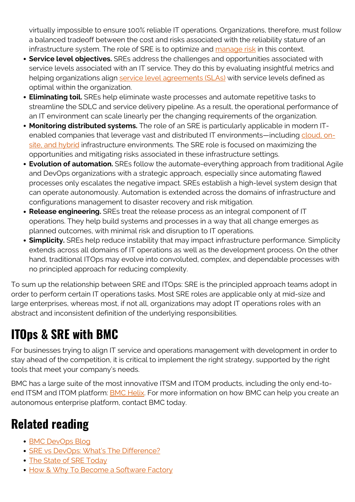virtually impossible to ensure 100% reliable IT operations. Organizations, therefore, must follow a balanced tradeoff between the cost and risks associated with the reliability stature of an infrastructure system. The role of SRE is to optimize and [manage risk](https://blogs.bmc.com/blogs/risk-management-framework-process-itsm-environments/) in this context.

- **Service level objectives.** SREs address the challenges and opportunities associated with service levels associated with an IT service. They do this by evaluating insightful metrics and helping organizations align [service level agreements \(SLAs\)](https://blogs.bmc.com/blogs/sla-template-examples/) with service levels defined as optimal within the organization.
- **Eliminating toil.** SREs help eliminate waste processes and automate repetitive tasks to streamline the SDLC and service delivery pipeline. As a result, the operational performance of an IT environment can scale linearly per the changing requirements of the organization.
- **Monitoring distributed systems.** The role of an SRE is particularly applicable in modern ITenabled companies that leverage vast and distributed IT environments—including [cloud, on](https://blogs.bmc.com/blogs/hybrid-cloud-vs-multi-cloud-whats-the-difference/)[site, and hybrid](https://blogs.bmc.com/blogs/hybrid-cloud-vs-multi-cloud-whats-the-difference/) infrastructure environments. The SRE role is focused on maximizing the opportunities and mitigating risks associated in these infrastructure settings.
- **Evolution of automation.** SREs follow the automate-everything approach from traditional Agile and DevOps organizations with a strategic approach, especially since automating flawed processes only escalates the negative impact. SREs establish a high-level system design that can operate autonomously. Automation is extended across the domains of infrastructure and configurations management to disaster recovery and risk mitigation.
- **Release engineering.** SREs treat the release process as an integral component of IT operations. They help build systems and processes in a way that all change emerges as planned outcomes, with minimal risk and disruption to IT operations.
- **Simplicity.** SREs help reduce instability that may impact infrastructure performance. Simplicity extends across all domains of IT operations as well as the development process. On the other hand, traditional ITOps may evolve into convoluted, complex, and dependable processes with no principled approach for reducing complexity.

To sum up the relationship between SRE and ITOps: SRE is the principled approach teams adopt in order to perform certain IT operations tasks. Most SRE roles are applicable only at mid-size and large enterprises, whereas most, if not all, organizations may adopt IT operations roles with an abstract and inconsistent definition of the underlying responsibilities.

### **ITOps & SRE with BMC**

For businesses trying to align IT service and operations management with development in order to stay ahead of the competition, it is critical to implement the right strategy, supported by the right tools that meet your company's needs.

BMC has a large suite of the most innovative ITSM and ITOM products, including the only end-toend ITSM and ITOM platform: **BMC Helix**. For more information on how BMC can help you create an autonomous enterprise platform, contact BMC today.

### **Related reading**

- [BMC DevOps Blog](https://blogs.bmc.com/blogs/categories/devops/)
- [SRE vs DevOps: What's The Difference?](https://blogs.bmc.com/blogs/sre-vs-devops/)
- [The State of SRE Today](https://blogs.bmc.com/blogs/state-of-sre/)
- [How & Why To Become a Software Factory](https://blogs.bmc.com/blogs/software-factory/)